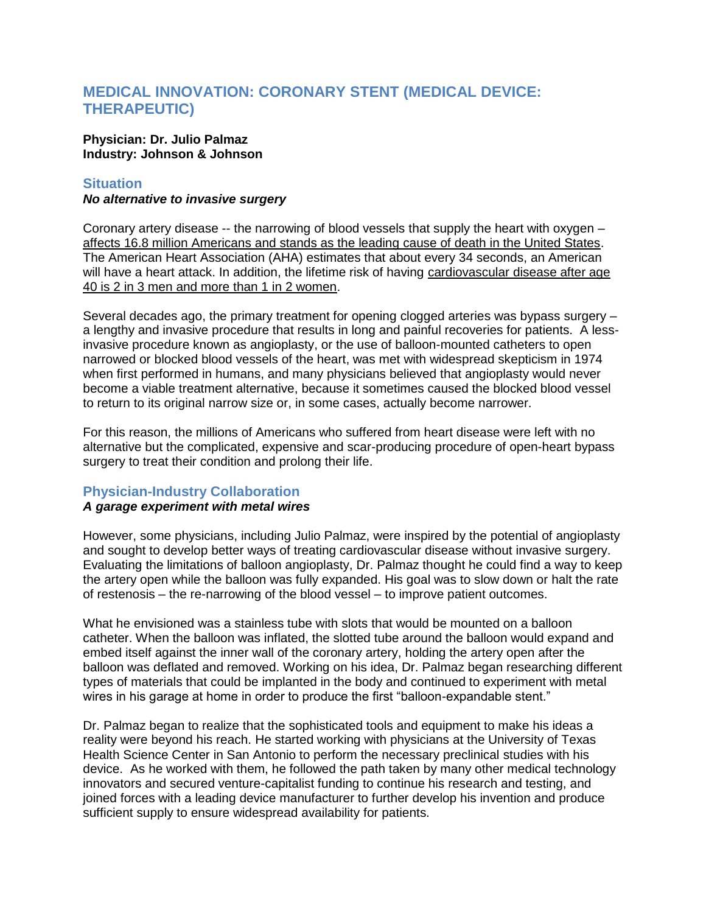# **MEDICAL INNOVATION: CORONARY STENT (MEDICAL DEVICE: THERAPEUTIC)**

### **Physician: Dr. Julio Palmaz Industry: Johnson & Johnson**

## **Situation**

### *No alternative to invasive surgery*

Coronary artery disease -- the narrowing of blood vessels that supply the heart with oxygen – affects 16.8 million Americans and stands as the leading cause of death in the United States. The American Heart Association (AHA) estimates that about every 34 seconds, an American will have a heart attack. In addition, the lifetime risk of having cardiovascular disease after age 40 is 2 in 3 men and more than 1 in 2 women.

Several decades ago, the primary treatment for opening clogged arteries was bypass surgery – a lengthy and invasive procedure that results in long and painful recoveries for patients. A lessinvasive procedure known as angioplasty, or the use of balloon-mounted catheters to open narrowed or blocked blood vessels of the heart, was met with widespread skepticism in 1974 when first performed in humans, and many physicians believed that angioplasty would never become a viable treatment alternative, because it sometimes caused the blocked blood vessel to return to its original narrow size or, in some cases, actually become narrower.

For this reason, the millions of Americans who suffered from heart disease were left with no alternative but the complicated, expensive and scar-producing procedure of open-heart bypass surgery to treat their condition and prolong their life.

# **Physician-Industry Collaboration**

# *A garage experiment with metal wires*

However, some physicians, including Julio Palmaz, were inspired by the potential of angioplasty and sought to develop better ways of treating cardiovascular disease without invasive surgery. Evaluating the limitations of balloon angioplasty, Dr. Palmaz thought he could find a way to keep the artery open while the balloon was fully expanded. His goal was to slow down or halt the rate of restenosis – the re-narrowing of the blood vessel – to improve patient outcomes.

What he envisioned was a stainless tube with slots that would be mounted on a balloon catheter. When the balloon was inflated, the slotted tube around the balloon would expand and embed itself against the inner wall of the coronary artery, holding the artery open after the balloon was deflated and removed. Working on his idea, Dr. Palmaz began researching different types of materials that could be implanted in the body and continued to experiment with metal wires in his garage at home in order to produce the first "balloon-expandable stent."

Dr. Palmaz began to realize that the sophisticated tools and equipment to make his ideas a reality were beyond his reach. He started working with physicians at the University of Texas Health Science Center in San Antonio to perform the necessary preclinical studies with his device. As he worked with them, he followed the path taken by many other medical technology innovators and secured venture-capitalist funding to continue his research and testing, and joined forces with a leading device manufacturer to further develop his invention and produce sufficient supply to ensure widespread availability for patients.